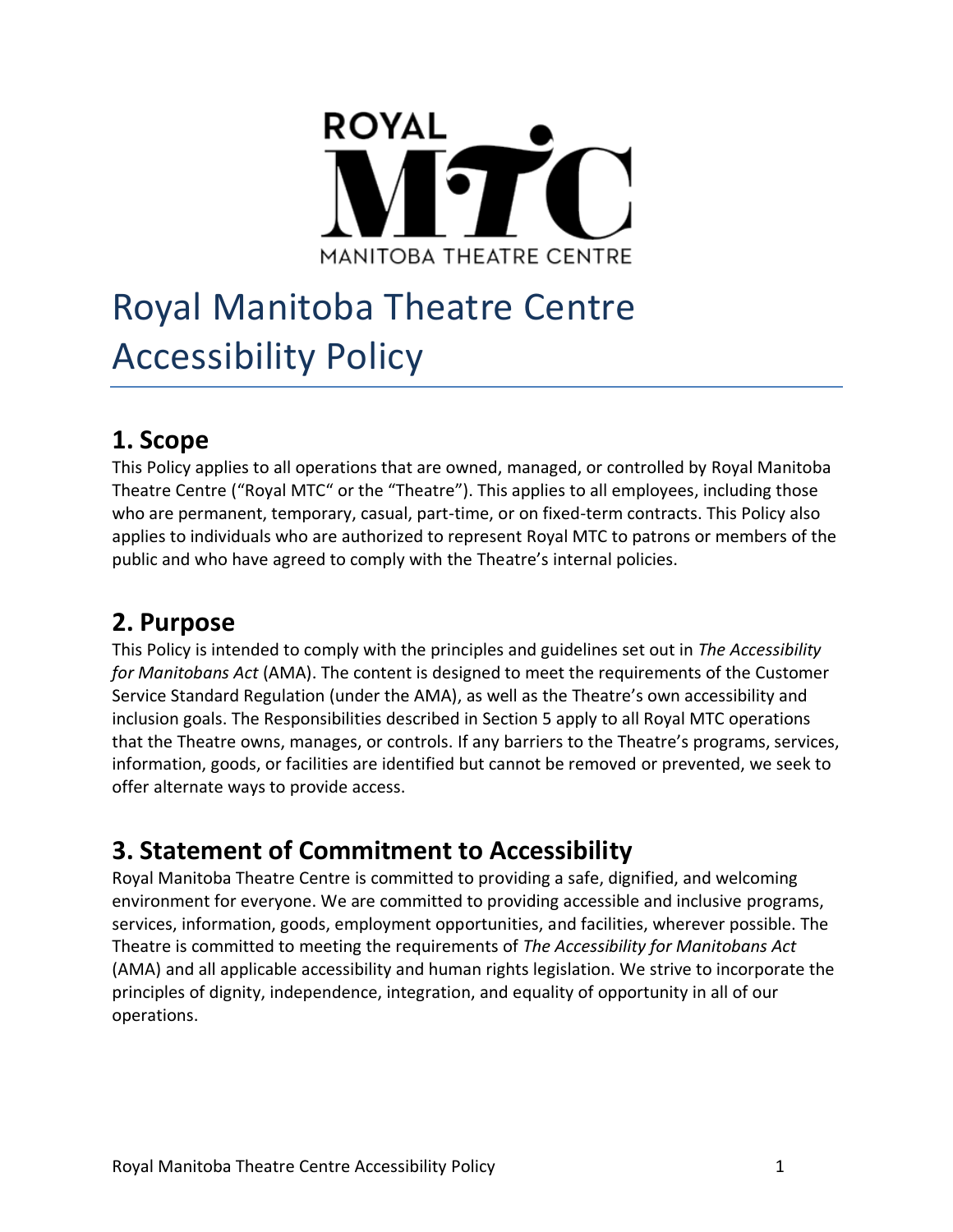

# Royal Manitoba Theatre Centre Accessibility Policy

### **1. Scope**

This Policy applies to all operations that are owned, managed, or controlled by Royal Manitoba Theatre Centre ("Royal MTC" or the "Theatre"). This applies to all employees, including those who are permanent, temporary, casual, part-time, or on fixed-term contracts. This Policy also applies to individuals who are authorized to represent Royal MTC to patrons or members of the public and who have agreed to comply with the Theatre's internal policies.

# **2. Purpose**

This Policy is intended to comply with the principles and guidelines set out in *The Accessibility for Manitobans Act* (AMA). The content is designed to meet the requirements of the Customer Service Standard Regulation (under the AMA), as well as the Theatre's own accessibility and inclusion goals. The Responsibilities described in Section 5 apply to all Royal MTC operations that the Theatre owns, manages, or controls. If any barriers to the Theatre's programs, services, information, goods, or facilities are identified but cannot be removed or prevented, we seek to offer alternate ways to provide access.

# **3. Statement of Commitment to Accessibility**

Royal Manitoba Theatre Centre is committed to providing a safe, dignified, and welcoming environment for everyone. We are committed to providing accessible and inclusive programs, services, information, goods, employment opportunities, and facilities, wherever possible. The Theatre is committed to meeting the requirements of *The Accessibility for Manitobans Act* (AMA) and all applicable accessibility and human rights legislation. We strive to incorporate the principles of dignity, independence, integration, and equality of opportunity in all of our operations.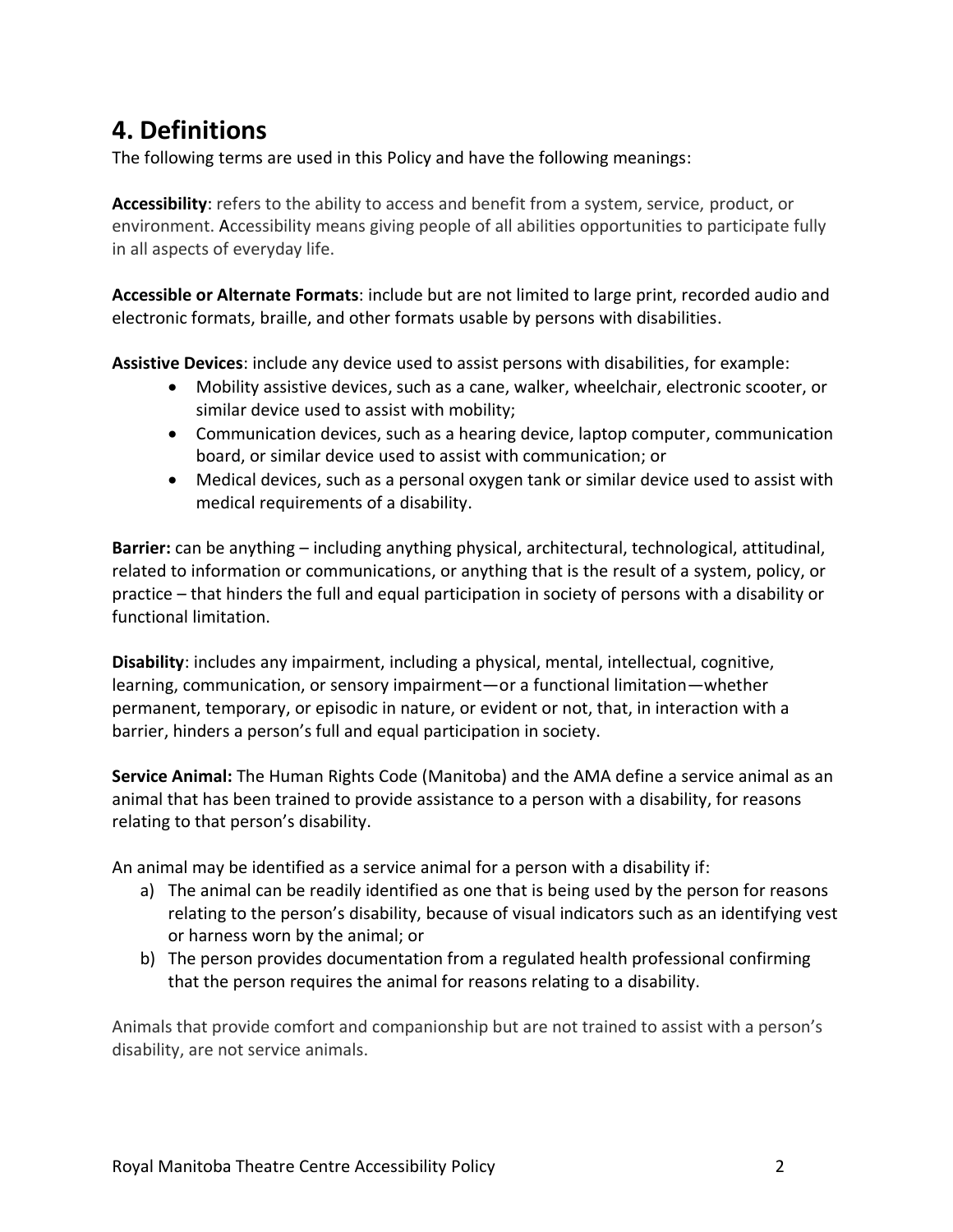## **4. Definitions**

The following terms are used in this Policy and have the following meanings:

**Accessibility**: refers to the ability to access and benefit from a system, service, product, or environment. Accessibility means giving people of all abilities opportunities to participate fully in all aspects of everyday life.

**Accessible or Alternate Formats**: include but are not limited to large print, recorded audio and electronic formats, braille, and other formats usable by persons with disabilities.

**Assistive Devices**: include any device used to assist persons with disabilities, for example:

- Mobility assistive devices, such as a cane, walker, wheelchair, electronic scooter, or similar device used to assist with mobility;
- Communication devices, such as a hearing device, laptop computer, communication board, or similar device used to assist with communication; or
- Medical devices, such as a personal oxygen tank or similar device used to assist with medical requirements of a disability.

**Barrier:** can be anything – including anything physical, architectural, technological, attitudinal, related to information or communications, or anything that is the result of a system, policy, or practice – that hinders the full and equal participation in society of persons with a disability or functional limitation.

**Disability**: includes any impairment, including a physical, mental, intellectual, cognitive, learning, communication, or sensory impairment—or a functional limitation—whether permanent, temporary, or episodic in nature, or evident or not, that, in interaction with a barrier, hinders a person's full and equal participation in society.

**Service Animal:** The Human Rights Code (Manitoba) and the AMA define a service animal as an animal that has been trained to provide assistance to a person with a disability, for reasons relating to that person's disability.

An animal may be identified as a service animal for a person with a disability if:

- a) The animal can be readily identified as one that is being used by the person for reasons relating to the person's disability, because of visual indicators such as an identifying vest or harness worn by the animal; or
- b) The person provides documentation from a regulated health professional confirming that the person requires the animal for reasons relating to a disability.

Animals that provide comfort and companionship but are not trained to assist with a person's disability, are not service animals.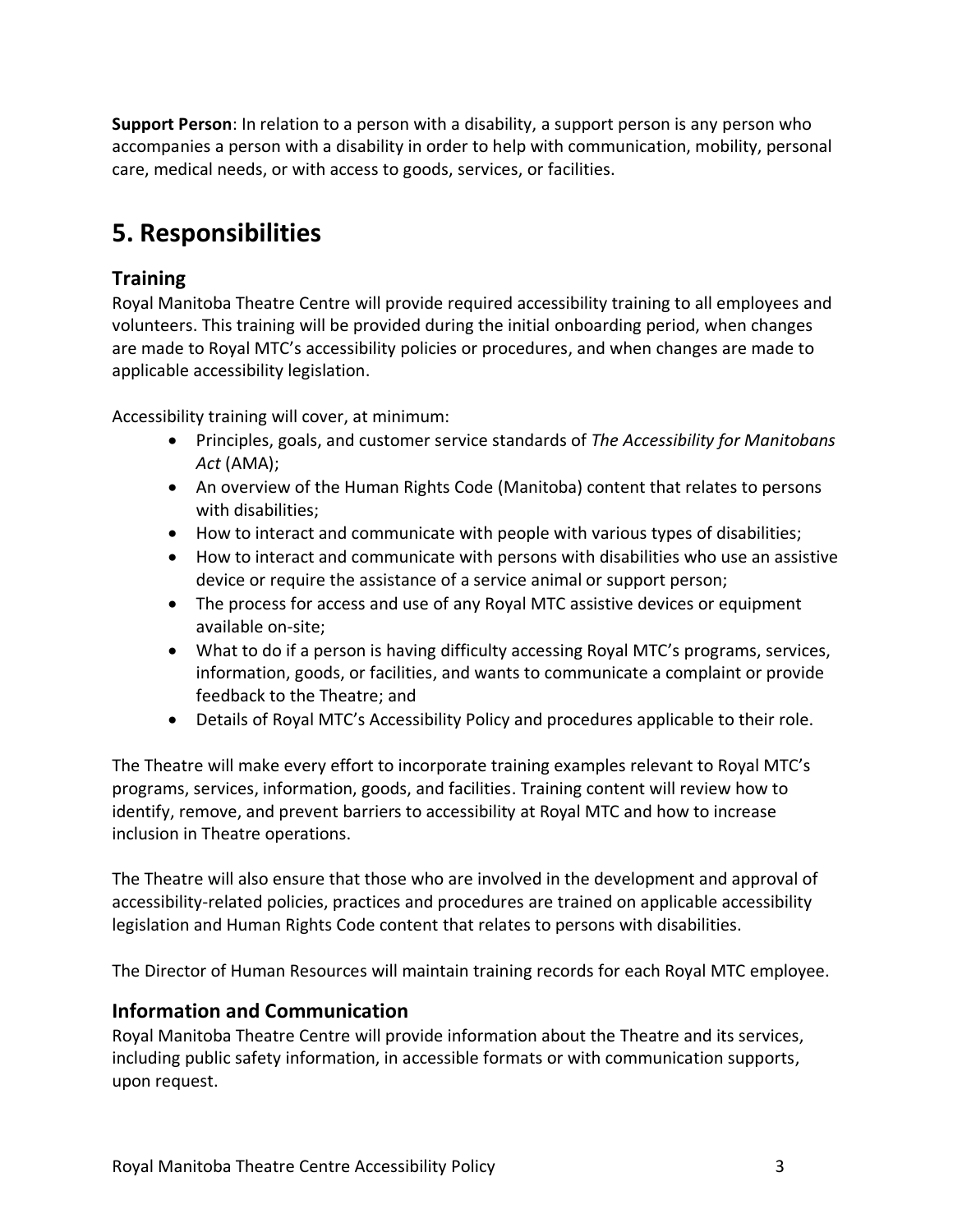**Support Person**: In relation to a person with a disability, a support person is any person who accompanies a person with a disability in order to help with communication, mobility, personal care, medical needs, or with access to goods, services, or facilities.

## **5. Responsibilities**

### **Training**

Royal Manitoba Theatre Centre will provide required accessibility training to all employees and volunteers. This training will be provided during the initial onboarding period, when changes are made to Royal MTC's accessibility policies or procedures, and when changes are made to applicable accessibility legislation.

Accessibility training will cover, at minimum:

- Principles, goals, and customer service standards of *The Accessibility for Manitobans Act* (AMA);
- An overview of the Human Rights Code (Manitoba) content that relates to persons with disabilities;
- How to interact and communicate with people with various types of disabilities;
- How to interact and communicate with persons with disabilities who use an assistive device or require the assistance of a service animal or support person;
- The process for access and use of any Royal MTC assistive devices or equipment available on-site;
- What to do if a person is having difficulty accessing Royal MTC's programs, services, information, goods, or facilities, and wants to communicate a complaint or provide feedback to the Theatre; and
- Details of Royal MTC's Accessibility Policy and procedures applicable to their role.

The Theatre will make every effort to incorporate training examples relevant to Royal MTC's programs, services, information, goods, and facilities. Training content will review how to identify, remove, and prevent barriers to accessibility at Royal MTC and how to increase inclusion in Theatre operations.

The Theatre will also ensure that those who are involved in the development and approval of accessibility-related policies, practices and procedures are trained on applicable accessibility legislation and Human Rights Code content that relates to persons with disabilities.

The Director of Human Resources will maintain training records for each Royal MTC employee.

#### **Information and Communication**

Royal Manitoba Theatre Centre will provide information about the Theatre and its services, including public safety information, in accessible formats or with communication supports, upon request.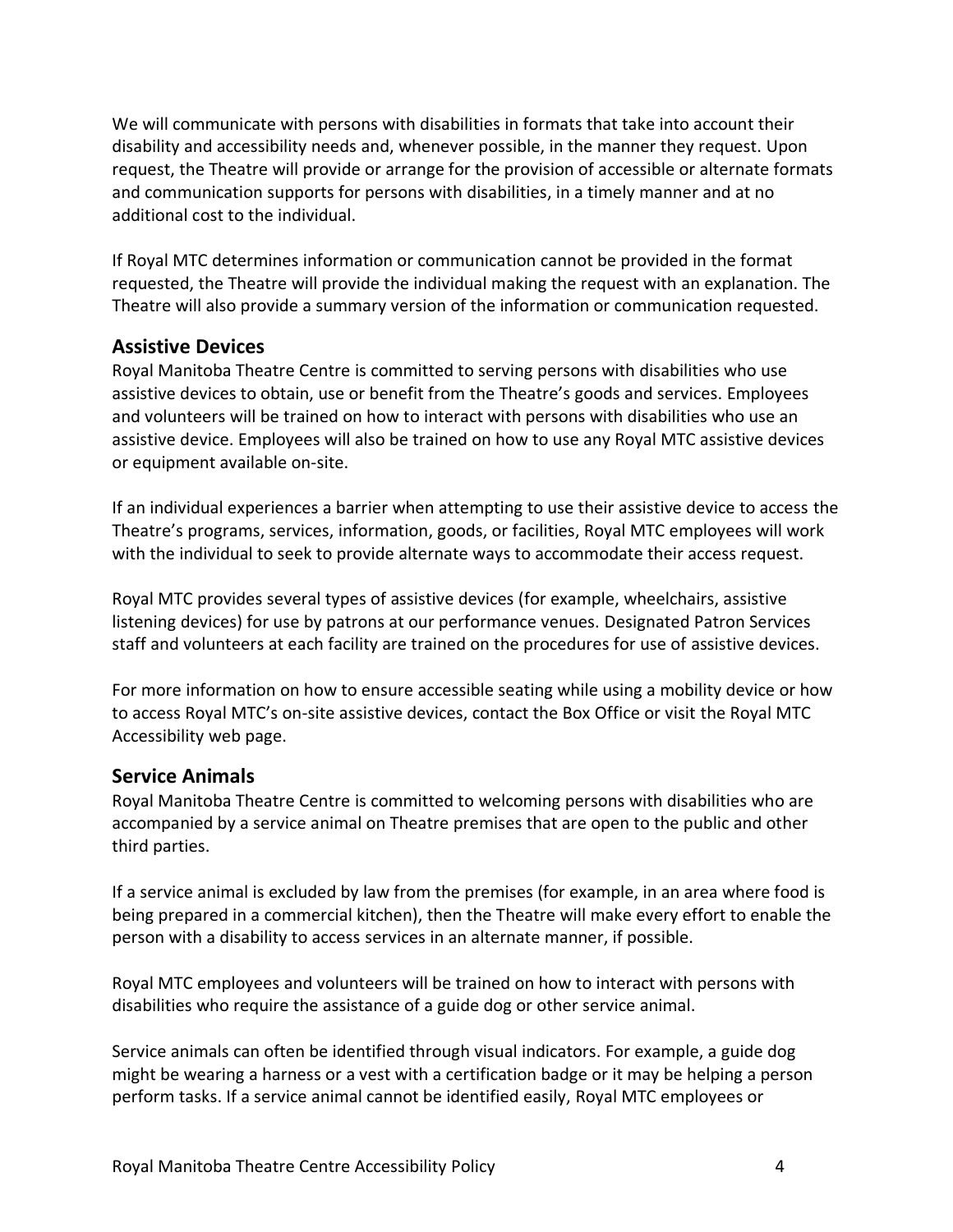We will communicate with persons with disabilities in formats that take into account their disability and accessibility needs and, whenever possible, in the manner they request. Upon request, the Theatre will provide or arrange for the provision of accessible or alternate formats and communication supports for persons with disabilities, in a timely manner and at no additional cost to the individual.

If Royal MTC determines information or communication cannot be provided in the format requested, the Theatre will provide the individual making the request with an explanation. The Theatre will also provide a summary version of the information or communication requested.

#### **Assistive Devices**

Royal Manitoba Theatre Centre is committed to serving persons with disabilities who use assistive devices to obtain, use or benefit from the Theatre's goods and services. Employees and volunteers will be trained on how to interact with persons with disabilities who use an assistive device. Employees will also be trained on how to use any Royal MTC assistive devices or equipment available on-site.

If an individual experiences a barrier when attempting to use their assistive device to access the Theatre's programs, services, information, goods, or facilities, Royal MTC employees will work with the individual to seek to provide alternate ways to accommodate their access request.

Royal MTC provides several types of assistive devices (for example, wheelchairs, assistive listening devices) for use by patrons at our performance venues. Designated Patron Services staff and volunteers at each facility are trained on the procedures for use of assistive devices.

For more information on how to ensure accessible seating while using a mobility device or how to access Royal MTC's on-site assistive devices, contact the Box Office or visit the Royal MTC Accessibility web page.

#### **Service Animals**

Royal Manitoba Theatre Centre is committed to welcoming persons with disabilities who are accompanied by a service animal on Theatre premises that are open to the public and other third parties.

If a service animal is excluded by law from the premises (for example, in an area where food is being prepared in a commercial kitchen), then the Theatre will make every effort to enable the person with a disability to access services in an alternate manner, if possible.

Royal MTC employees and volunteers will be trained on how to interact with persons with disabilities who require the assistance of a guide dog or other service animal.

Service animals can often be identified through visual indicators. For example, a guide dog might be wearing a harness or a vest with a certification badge or it may be helping a person perform tasks. If a service animal cannot be identified easily, Royal MTC employees or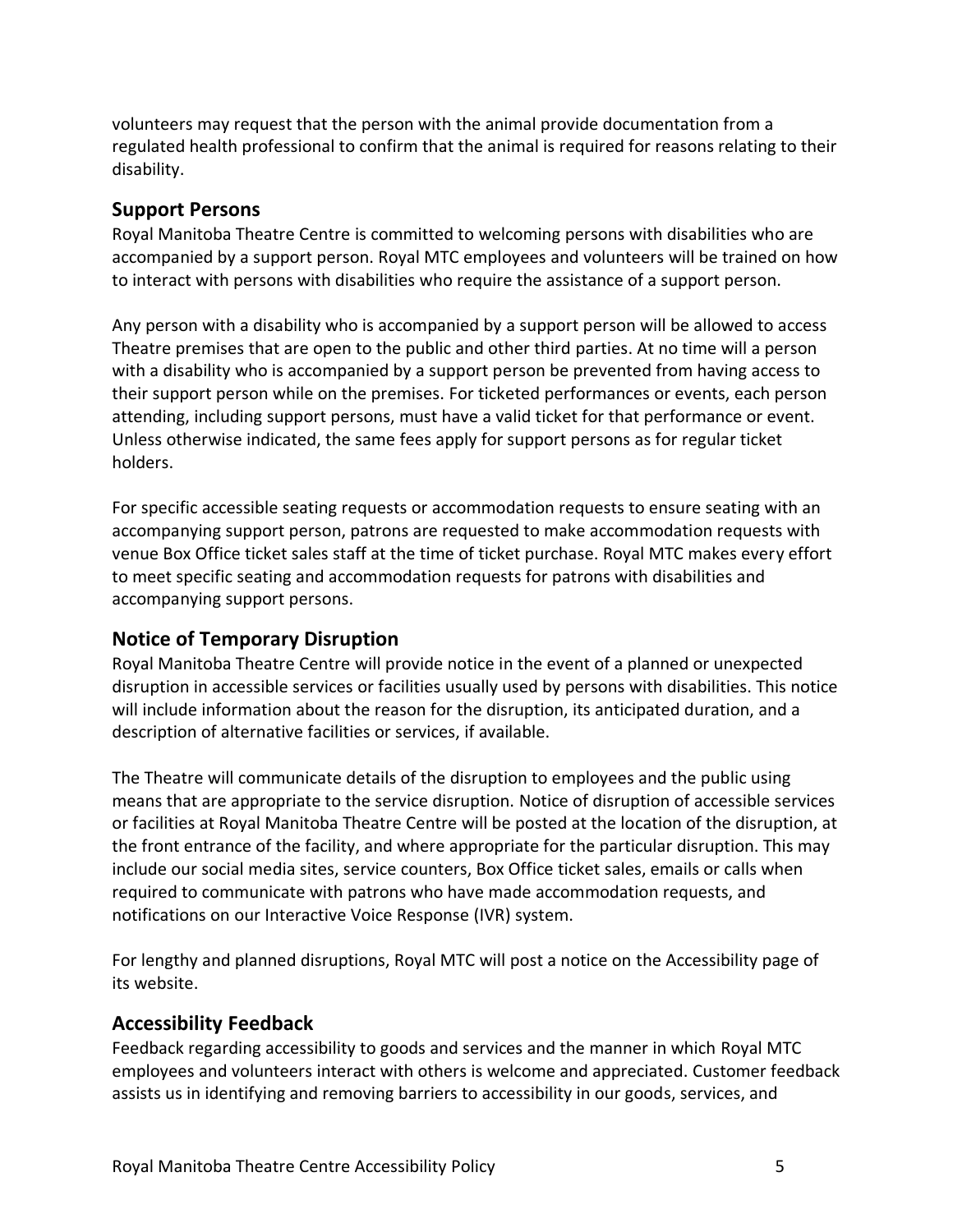volunteers may request that the person with the animal provide documentation from a regulated health professional to confirm that the animal is required for reasons relating to their disability.

#### **Support Persons**

Royal Manitoba Theatre Centre is committed to welcoming persons with disabilities who are accompanied by a support person. Royal MTC employees and volunteers will be trained on how to interact with persons with disabilities who require the assistance of a support person.

Any person with a disability who is accompanied by a support person will be allowed to access Theatre premises that are open to the public and other third parties. At no time will a person with a disability who is accompanied by a support person be prevented from having access to their support person while on the premises. For ticketed performances or events, each person attending, including support persons, must have a valid ticket for that performance or event. Unless otherwise indicated, the same fees apply for support persons as for regular ticket holders.

For specific accessible seating requests or accommodation requests to ensure seating with an accompanying support person, patrons are requested to make accommodation requests with venue Box Office ticket sales staff at the time of ticket purchase. Royal MTC makes every effort to meet specific seating and accommodation requests for patrons with disabilities and accompanying support persons.

#### **Notice of Temporary Disruption**

Royal Manitoba Theatre Centre will provide notice in the event of a planned or unexpected disruption in accessible services or facilities usually used by persons with disabilities. This notice will include information about the reason for the disruption, its anticipated duration, and a description of alternative facilities or services, if available.

The Theatre will communicate details of the disruption to employees and the public using means that are appropriate to the service disruption. Notice of disruption of accessible services or facilities at Royal Manitoba Theatre Centre will be posted at the location of the disruption, at the front entrance of the facility, and where appropriate for the particular disruption. This may include our social media sites, service counters, Box Office ticket sales, emails or calls when required to communicate with patrons who have made accommodation requests, and notifications on our Interactive Voice Response (IVR) system.

For lengthy and planned disruptions, Royal MTC will post a notice on the Accessibility page of its website.

#### **Accessibility Feedback**

Feedback regarding accessibility to goods and services and the manner in which Royal MTC employees and volunteers interact with others is welcome and appreciated. Customer feedback assists us in identifying and removing barriers to accessibility in our goods, services, and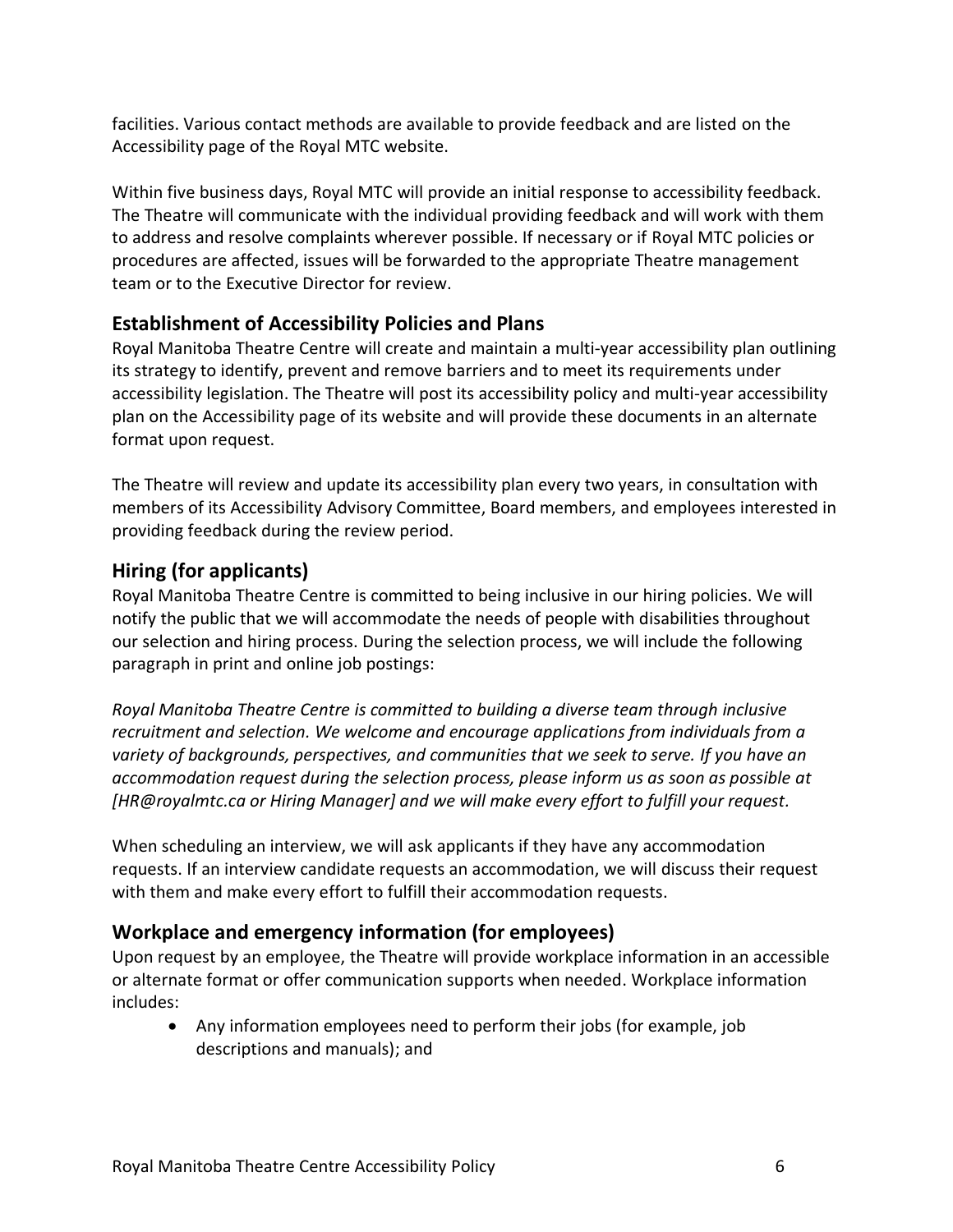facilities. Various contact methods are available to provide feedback and are listed on the Accessibility page of the Royal MTC website.

Within five business days, Royal MTC will provide an initial response to accessibility feedback. The Theatre will communicate with the individual providing feedback and will work with them to address and resolve complaints wherever possible. If necessary or if Royal MTC policies or procedures are affected, issues will be forwarded to the appropriate Theatre management team or to the Executive Director for review.

### **Establishment of Accessibility Policies and Plans**

Royal Manitoba Theatre Centre will create and maintain a multi-year accessibility plan outlining its strategy to identify, prevent and remove barriers and to meet its requirements under accessibility legislation. The Theatre will post its accessibility policy and multi-year accessibility plan on the Accessibility page of its website and will provide these documents in an alternate format upon request.

The Theatre will review and update its accessibility plan every two years, in consultation with members of its Accessibility Advisory Committee, Board members, and employees interested in providing feedback during the review period.

### **Hiring (for applicants)**

Royal Manitoba Theatre Centre is committed to being inclusive in our hiring policies. We will notify the public that we will accommodate the needs of people with disabilities throughout our selection and hiring process. During the selection process, we will include the following paragraph in print and online job postings:

*Royal Manitoba Theatre Centre is committed to building a diverse team through inclusive recruitment and selection. We welcome and encourage applications from individuals from a variety of backgrounds, perspectives, and communities that we seek to serve. If you have an accommodation request during the selection process, please inform us as soon as possible at [HR@royalmtc.ca or Hiring Manager] and we will make every effort to fulfill your request.*

When scheduling an interview, we will ask applicants if they have any accommodation requests. If an interview candidate requests an accommodation, we will discuss their request with them and make every effort to fulfill their accommodation requests.

### **Workplace and emergency information (for employees)**

Upon request by an employee, the Theatre will provide workplace information in an accessible or alternate format or offer communication supports when needed. Workplace information includes:

• Any information employees need to perform their jobs (for example, job descriptions and manuals); and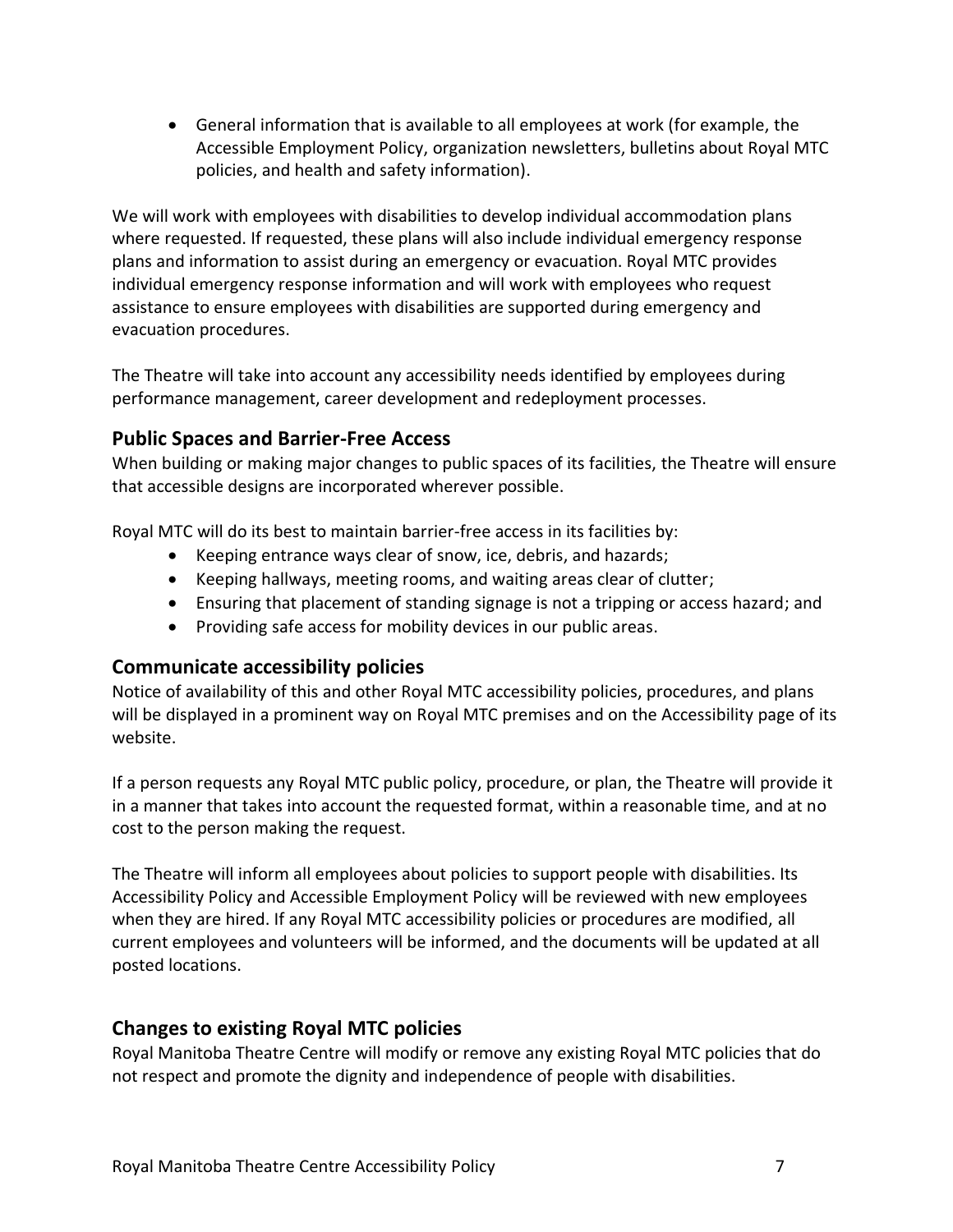• General information that is available to all employees at work (for example, the Accessible Employment Policy, organization newsletters, bulletins about Royal MTC policies, and health and safety information).

We will work with employees with disabilities to develop individual accommodation plans where requested. If requested, these plans will also include individual emergency response plans and information to assist during an emergency or evacuation. Royal MTC provides individual emergency response information and will work with employees who request assistance to ensure employees with disabilities are supported during emergency and evacuation procedures.

The Theatre will take into account any accessibility needs identified by employees during performance management, career development and redeployment processes.

#### **Public Spaces and Barrier-Free Access**

When building or making major changes to public spaces of its facilities, the Theatre will ensure that accessible designs are incorporated wherever possible.

Royal MTC will do its best to maintain barrier-free access in its facilities by:

- Keeping entrance ways clear of snow, ice, debris, and hazards;
- Keeping hallways, meeting rooms, and waiting areas clear of clutter;
- Ensuring that placement of standing signage is not a tripping or access hazard; and
- Providing safe access for mobility devices in our public areas.

#### **Communicate accessibility policies**

Notice of availability of this and other Royal MTC accessibility policies, procedures, and plans will be displayed in a prominent way on Royal MTC premises and on the Accessibility page of its website.

If a person requests any Royal MTC public policy, procedure, or plan, the Theatre will provide it in a manner that takes into account the requested format, within a reasonable time, and at no cost to the person making the request.

The Theatre will inform all employees about policies to support people with disabilities. Its Accessibility Policy and Accessible Employment Policy will be reviewed with new employees when they are hired. If any Royal MTC accessibility policies or procedures are modified, all current employees and volunteers will be informed, and the documents will be updated at all posted locations.

#### **Changes to existing Royal MTC policies**

Royal Manitoba Theatre Centre will modify or remove any existing Royal MTC policies that do not respect and promote the dignity and independence of people with disabilities.